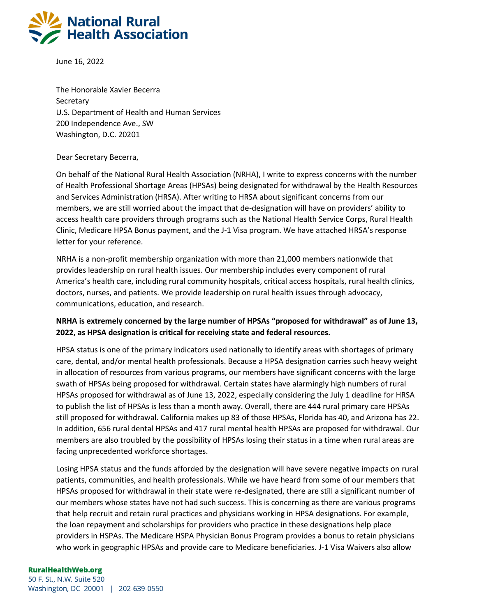

June 16, 2022

The Honorable Xavier Becerra **Secretary** U.S. Department of Health and Human Services 200 Independence Ave., SW Washington, D.C. 20201

## Dear Secretary Becerra,

On behalf of the National Rural Health Association (NRHA), I write to express concerns with the number of Health Professional Shortage Areas (HPSAs) being designated for withdrawal by the Health Resources and Services Administration (HRSA). After writing to HRSA about significant concerns from our members, we are still worried about the impact that de-designation will have on providers' ability to access health care providers through programs such as the National Health Service Corps, Rural Health Clinic, Medicare HPSA Bonus payment, and the J-1 Visa program. We have attached HRSA's response letter for your reference.

NRHA is a non-profit membership organization with more than 21,000 members nationwide that provides leadership on rural health issues. Our membership includes every component of rural America's health care, including rural community hospitals, critical access hospitals, rural health clinics, doctors, nurses, and patients. We provide leadership on rural health issues through advocacy, communications, education, and research.

## **NRHA is extremely concerned by the large number of HPSAs "proposed for withdrawal" as of June 13, 2022, as HPSA designation is critical for receiving state and federal resources.**

HPSA status is one of the primary indicators used nationally to identify areas with shortages of primary care, dental, and/or mental health professionals. Because a HPSA designation carries such heavy weight in allocation of resources from various programs, our members have significant concerns with the large swath of HPSAs being proposed for withdrawal. Certain states have alarmingly high numbers of rural HPSAs proposed for withdrawal as of June 13, 2022, especially considering the July 1 deadline for HRSA to publish the list of HPSAs is less than a month away. Overall, there are 444 rural primary care HPSAs still proposed for withdrawal. California makes up 83 of those HPSAs, Florida has 40, and Arizona has 22. In addition, 656 rural dental HPSAs and 417 rural mental health HPSAs are proposed for withdrawal. Our members are also troubled by the possibility of HPSAs losing their status in a time when rural areas are facing unprecedented workforce shortages.

Losing HPSA status and the funds afforded by the designation will have severe negative impacts on rural patients, communities, and health professionals. While we have heard from some of our members that HPSAs proposed for withdrawal in their state were re-designated, there are still a significant number of our members whose states have not had such success. This is concerning as there are various programs that help recruit and retain rural practices and physicians working in HPSA designations. For example, the loan repayment and scholarships for providers who practice in these designations help place providers in HSPAs. The Medicare HSPA Physician Bonus Program provides a bonus to retain physicians who work in geographic HPSAs and provide care to Medicare beneficiaries. J-1 Visa Waivers also allow

## **RuralHealthWeb.org**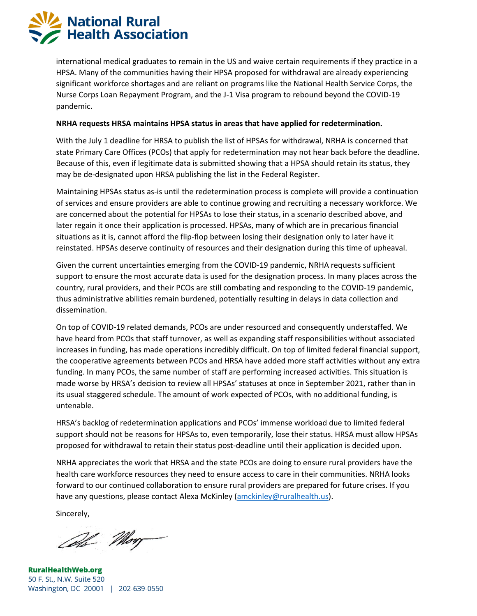**National Rural Health Association** 

> international medical graduates to remain in the US and waive certain requirements if they practice in a HPSA. Many of the communities having their HPSA proposed for withdrawal are already experiencing significant workforce shortages and are reliant on programs like the National Health Service Corps, the Nurse Corps Loan Repayment Program, and the J-1 Visa program to rebound beyond the COVID-19 pandemic.

## **NRHA requests HRSA maintains HPSA status in areas that have applied for redetermination.**

With the July 1 deadline for HRSA to publish the list of HPSAs for withdrawal, NRHA is concerned that state Primary Care Offices (PCOs) that apply for redetermination may not hear back before the deadline. Because of this, even if legitimate data is submitted showing that a HPSA should retain its status, they may be de-designated upon HRSA publishing the list in the Federal Register.

Maintaining HPSAs status as-is until the redetermination process is complete will provide a continuation of services and ensure providers are able to continue growing and recruiting a necessary workforce. We are concerned about the potential for HPSAs to lose their status, in a scenario described above, and later regain it once their application is processed. HPSAs, many of which are in precarious financial situations as it is, cannot afford the flip-flop between losing their designation only to later have it reinstated. HPSAs deserve continuity of resources and their designation during this time of upheaval.

Given the current uncertainties emerging from the COVID-19 pandemic, NRHA requests sufficient support to ensure the most accurate data is used for the designation process. In many places across the country, rural providers, and their PCOs are still combating and responding to the COVID-19 pandemic, thus administrative abilities remain burdened, potentially resulting in delays in data collection and dissemination.

On top of COVID-19 related demands, PCOs are under resourced and consequently understaffed. We have heard from PCOs that staff turnover, as well as expanding staff responsibilities without associated increases in funding, has made operations incredibly difficult. On top of limited federal financial support, the cooperative agreements between PCOs and HRSA have added more staff activities without any extra funding. In many PCOs, the same number of staff are performing increased activities. This situation is made worse by HRSA's decision to review all HPSAs' statuses at once in September 2021, rather than in its usual staggered schedule. The amount of work expected of PCOs, with no additional funding, is untenable.

HRSA's backlog of redetermination applications and PCOs' immense workload due to limited federal support should not be reasons for HPSAs to, even temporarily, lose their status. HRSA must allow HPSAs proposed for withdrawal to retain their status post-deadline until their application is decided upon.

NRHA appreciates the work that HRSA and the state PCOs are doing to ensure rural providers have the health care workforce resources they need to ensure access to care in their communities. NRHA looks forward to our continued collaboration to ensure rural providers are prepared for future crises. If you have any questions, please contact Alexa McKinley [\(amckinley@ruralhealth.us\)](mailto:amckinley@ruralhealth.us).

Sincerely,

Cell Mon

**RuralHealthWeb.org** 50 F. St., N.W. Suite 520 Washington, DC 20001 | 202-639-0550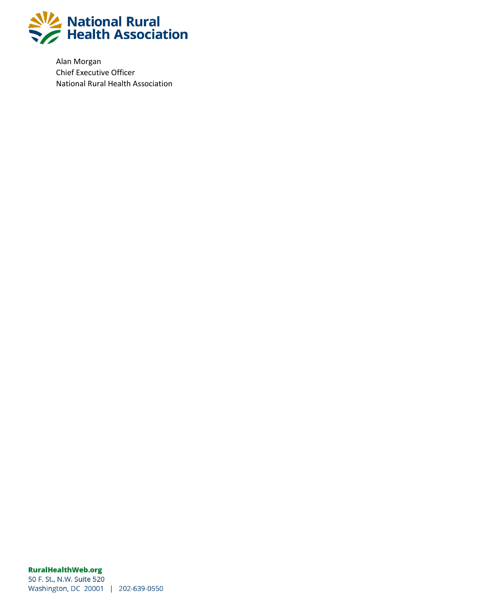

Alan Morgan Chief Executive Officer National Rural Health Association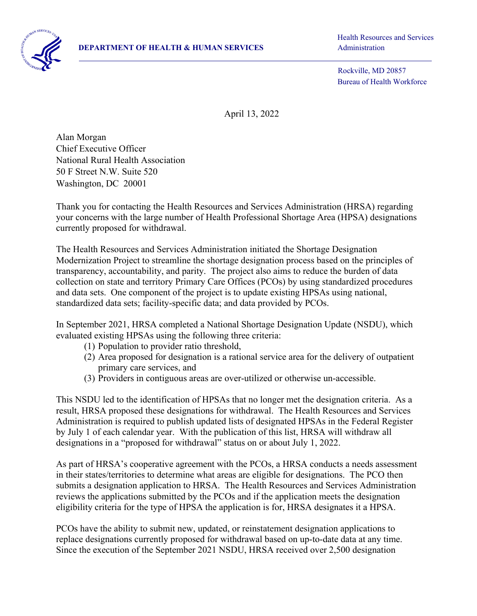Health Resources and Services

 Rockville, MD 20857 Bureau of Health Workforce

April 13, 2022

Alan Morgan Chief Executive Officer National Rural Health Association 50 F Street N.W. Suite 520 Washington, DC 20001

Thank you for contacting the Health Resources and Services Administration (HRSA) regarding your concerns with the large number of Health Professional Shortage Area (HPSA) designations currently proposed for withdrawal.

The Health Resources and Services Administration initiated the Shortage Designation Modernization Project to streamline the shortage designation process based on the principles of transparency, accountability, and parity. The project also aims to reduce the burden of data collection on state and territory Primary Care Offices (PCOs) by using standardized procedures and data sets. One component of the project is to update existing HPSAs using national, standardized data sets; facility-specific data; and data provided by PCOs.

In September 2021, HRSA completed a National Shortage Designation Update (NSDU), which evaluated existing HPSAs using the following three criteria:

- (1) Population to provider ratio threshold,
- (2) Area proposed for designation is a rational service area for the delivery of outpatient primary care services, and
- (3) Providers in contiguous areas are over-utilized or otherwise un-accessible.

This NSDU led to the identification of HPSAs that no longer met the designation criteria. As a result, HRSA proposed these designations for withdrawal. The Health Resources and Services Administration is required to publish updated lists of designated HPSAs in the Federal Register by July 1 of each calendar year. With the publication of this list, HRSA will withdraw all designations in a "proposed for withdrawal" status on or about July 1, 2022.

As part of HRSA's cooperative agreement with the PCOs, a HRSA conducts a needs assessment in their states/territories to determine what areas are eligible for designations. The PCO then submits a designation application to HRSA. The Health Resources and Services Administration reviews the applications submitted by the PCOs and if the application meets the designation eligibility criteria for the type of HPSA the application is for, HRSA designates it a HPSA.

PCOs have the ability to submit new, updated, or reinstatement designation applications to replace designations currently proposed for withdrawal based on up-to-date data at any time. Since the execution of the September 2021 NSDU, HRSA received over 2,500 designation